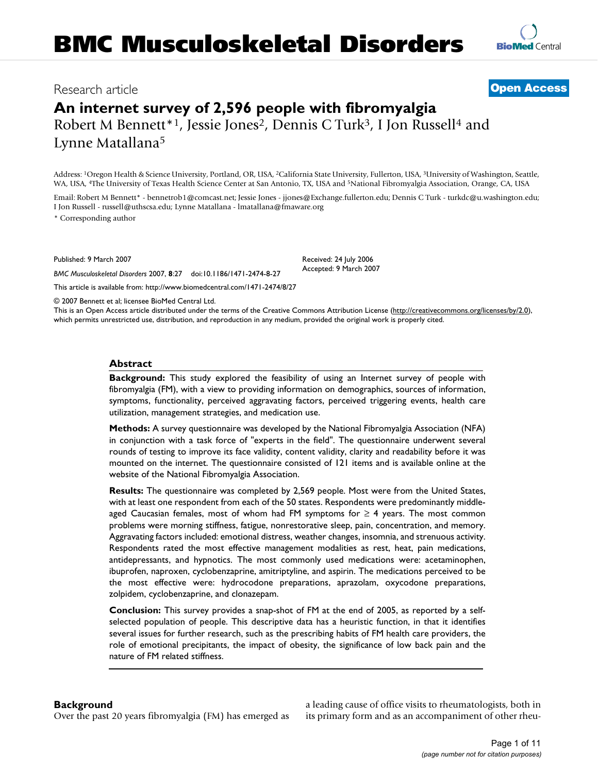# Research article **[Open Access](http://www.biomedcentral.com/info/about/charter/)**

# **An internet survey of 2,596 people with fibromyalgia** Robert M Bennett\*<sup>1</sup>, Jessie Jones<sup>2</sup>, Dennis C Turk<sup>3</sup>, I Jon Russell<sup>4</sup> and

Lynne Matallana5

Address: 1Oregon Health & Science University, Portland, OR, USA, 2California State University, Fullerton, USA, 3University of Washington, Seattle, WA, USA, 4The University of Texas Health Science Center at San Antonio, TX, USA and 5National Fibromyalgia Association, Orange, CA, USA

Email: Robert M Bennett\* - bennetrob1@comcast.net; Jessie Jones - jjones@Exchange.fullerton.edu; Dennis C Turk - turkdc@u.washington.edu; I Jon Russell - russell@uthscsa.edu; Lynne Matallana - lmatallana@fmaware.org

\* Corresponding author

Published: 9 March 2007

*BMC Musculoskeletal Disorders* 2007, **8**:27 doi:10.1186/1471-2474-8-27

[This article is available from: http://www.biomedcentral.com/1471-2474/8/27](http://www.biomedcentral.com/1471-2474/8/27)

© 2007 Bennett et al; licensee BioMed Central Ltd.

This is an Open Access article distributed under the terms of the Creative Commons Attribution License [\(http://creativecommons.org/licenses/by/2.0\)](http://creativecommons.org/licenses/by/2.0), which permits unrestricted use, distribution, and reproduction in any medium, provided the original work is properly cited.

### **Abstract**

**Background:** This study explored the feasibility of using an Internet survey of people with fibromyalgia (FM), with a view to providing information on demographics, sources of information, symptoms, functionality, perceived aggravating factors, perceived triggering events, health care utilization, management strategies, and medication use.

**Methods:** A survey questionnaire was developed by the National Fibromyalgia Association (NFA) in conjunction with a task force of "experts in the field". The questionnaire underwent several rounds of testing to improve its face validity, content validity, clarity and readability before it was mounted on the internet. The questionnaire consisted of 121 items and is available online at the website of the National Fibromyalgia Association.

**Results:** The questionnaire was completed by 2,569 people. Most were from the United States, with at least one respondent from each of the 50 states. Respondents were predominantly middleaged Caucasian females, most of whom had FM symptoms for  $\geq 4$  years. The most common problems were morning stiffness, fatigue, nonrestorative sleep, pain, concentration, and memory. Aggravating factors included: emotional distress, weather changes, insomnia, and strenuous activity. Respondents rated the most effective management modalities as rest, heat, pain medications, antidepressants, and hypnotics. The most commonly used medications were: acetaminophen, ibuprofen, naproxen, cyclobenzaprine, amitriptyline, and aspirin. The medications perceived to be the most effective were: hydrocodone preparations, aprazolam, oxycodone preparations, zolpidem, cyclobenzaprine, and clonazepam.

**Conclusion:** This survey provides a snap-shot of FM at the end of 2005, as reported by a selfselected population of people. This descriptive data has a heuristic function, in that it identifies several issues for further research, such as the prescribing habits of FM health care providers, the role of emotional precipitants, the impact of obesity, the significance of low back pain and the nature of FM related stiffness.

### **Background**

Over the past 20 years fibromyalgia (FM) has emerged as

a leading cause of office visits to rheumatologists, both in its primary form and as an accompaniment of other rheu-



Received: 24 July 2006 Accepted: 9 March 2007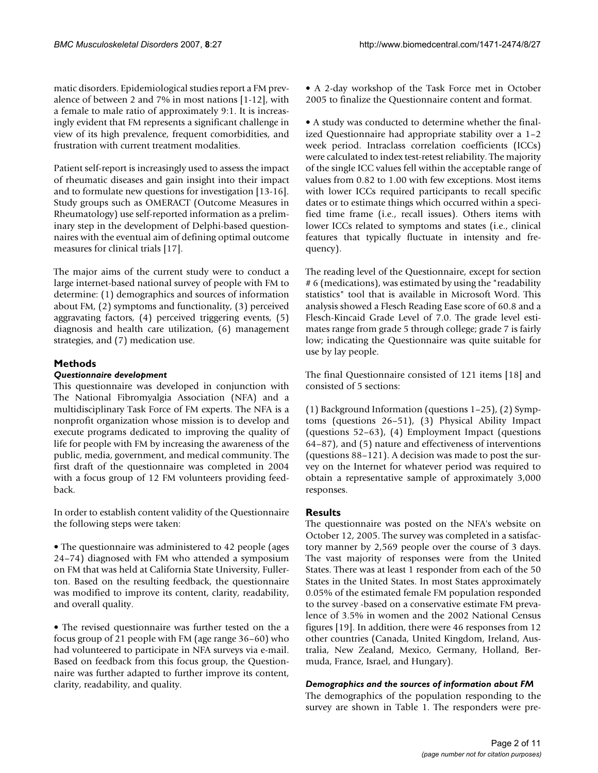matic disorders. Epidemiological studies report a FM prevalence of between 2 and 7% in most nations [1-12], with a female to male ratio of approximately 9:1. It is increasingly evident that FM represents a significant challenge in view of its high prevalence, frequent comorbidities, and frustration with current treatment modalities.

Patient self-report is increasingly used to assess the impact of rheumatic diseases and gain insight into their impact and to formulate new questions for investigation [13-16]. Study groups such as OMERACT (Outcome Measures in Rheumatology) use self-reported information as a preliminary step in the development of Delphi-based questionnaires with the eventual aim of defining optimal outcome measures for clinical trials [17].

The major aims of the current study were to conduct a large internet-based national survey of people with FM to determine: (1) demographics and sources of information about FM, (2) symptoms and functionality, (3) perceived aggravating factors, (4) perceived triggering events, (5) diagnosis and health care utilization, (6) management strategies, and (7) medication use.

# **Methods**

### *Questionnaire development*

This questionnaire was developed in conjunction with The National Fibromyalgia Association (NFA) and a multidisciplinary Task Force of FM experts. The NFA is a nonprofit organization whose mission is to develop and execute programs dedicated to improving the quality of life for people with FM by increasing the awareness of the public, media, government, and medical community. The first draft of the questionnaire was completed in 2004 with a focus group of 12 FM volunteers providing feedback.

In order to establish content validity of the Questionnaire the following steps were taken:

• The questionnaire was administered to 42 people (ages) 24–74) diagnosed with FM who attended a symposium on FM that was held at California State University, Fullerton. Based on the resulting feedback, the questionnaire was modified to improve its content, clarity, readability, and overall quality.

• The revised questionnaire was further tested on the a focus group of 21 people with FM (age range 36–60) who had volunteered to participate in NFA surveys via e-mail. Based on feedback from this focus group, the Questionnaire was further adapted to further improve its content, clarity, readability, and quality.

• A 2-day workshop of the Task Force met in October 2005 to finalize the Questionnaire content and format.

• A study was conducted to determine whether the finalized Questionnaire had appropriate stability over a 1–2 week period. Intraclass correlation coefficients (ICCs) were calculated to index test-retest reliability. The majority of the single ICC values fell within the acceptable range of values from 0.82 to 1.00 with few exceptions. Most items with lower ICCs required participants to recall specific dates or to estimate things which occurred within a specified time frame (i.e., recall issues). Others items with lower ICCs related to symptoms and states (i.e., clinical features that typically fluctuate in intensity and frequency).

The reading level of the Questionnaire, except for section # 6 (medications), was estimated by using the "readability statistics" tool that is available in Microsoft Word. This analysis showed a Flesch Reading Ease score of 60.8 and a Flesch-Kincaid Grade Level of 7.0. The grade level estimates range from grade 5 through college; grade 7 is fairly low; indicating the Questionnaire was quite suitable for use by lay people.

The final Questionnaire consisted of 121 items [18] and consisted of 5 sections:

(1) Background Information (questions 1–25), (2) Symptoms (questions 26–51), (3) Physical Ability Impact (questions 52–63), (4) Employment Impact (questions 64–87), and (5) nature and effectiveness of interventions (questions 88–121). A decision was made to post the survey on the Internet for whatever period was required to obtain a representative sample of approximately 3,000 responses.

# **Results**

The questionnaire was posted on the NFA's website on October 12, 2005. The survey was completed in a satisfactory manner by 2,569 people over the course of 3 days. The vast majority of responses were from the United States. There was at least 1 responder from each of the 50 States in the United States. In most States approximately 0.05% of the estimated female FM population responded to the survey -based on a conservative estimate FM prevalence of 3.5% in women and the 2002 National Census figures [19]. In addition, there were 46 responses from 12 other countries (Canada, United Kingdom, Ireland, Australia, New Zealand, Mexico, Germany, Holland, Bermuda, France, Israel, and Hungary).

### *Demographics and the sources of information about FM*

The demographics of the population responding to the survey are shown in Table 1. The responders were pre-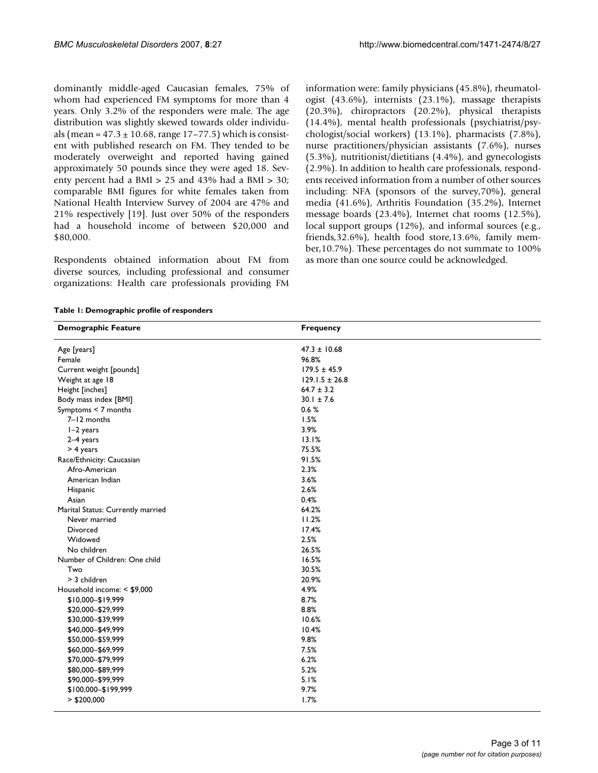dominantly middle-aged Caucasian females, 75% of whom had experienced FM symptoms for more than 4 years. Only 3.2% of the responders were male. The age distribution was slightly skewed towards older individuals (mean =  $47.3 \pm 10.68$ , range 17-77.5) which is consistent with published research on FM. They tended to be moderately overweight and reported having gained approximately 50 pounds since they were aged 18. Seventy percent had a BMI > 25 and 43% had a BMI > 30; comparable BMI figures for white females taken from National Health Interview Survey of 2004 are 47% and 21% respectively [19]. Just over 50% of the responders had a household income of between \$20,000 and \$80,000.

Respondents obtained information about FM from diverse sources, including professional and consumer organizations: Health care professionals providing FM

information were: family physicians (45.8%), rheumatologist (43.6%), internists (23.1%), massage therapists (20.3%), chiropractors (20.2%), physical therapists (14.4%), mental health professionals (psychiatrist/psychologist/social workers) (13.1%), pharmacists (7.8%), nurse practitioners/physician assistants (7.6%), nurses (5.3%), nutritionist/dietitians (4.4%), and gynecologists (2.9%). In addition to health care professionals, respondents received information from a number of other sources including: NFA (sponsors of the survey,70%), general media (41.6%), Arthritis Foundation (35.2%), Internet message boards (23.4%), Internet chat rooms (12.5%), local support groups (12%), and informal sources (e.g., friends,32.6%), health food store,13.6%, family member,10.7%). These percentages do not summate to 100% as more than one source could be acknowledged.

|  |  |  |  |  |  | Table 1: Demographic profile of responders |
|--|--|--|--|--|--|--------------------------------------------|
|--|--|--|--|--|--|--------------------------------------------|

| <b>Demographic Feature</b>        | <b>Frequency</b>   |  |  |  |
|-----------------------------------|--------------------|--|--|--|
| Age [years]                       | $47.3 \pm 10.68$   |  |  |  |
| Female                            | 96.8%              |  |  |  |
| Current weight [pounds]           | $179.5 \pm 45.9$   |  |  |  |
| Weight at age 18                  | $129.1.5 \pm 26.8$ |  |  |  |
| Height [inches]                   | $64.7 \pm 3.2$     |  |  |  |
| Body mass index [BMI]             | $30.1 \pm 7.6$     |  |  |  |
| Symptoms < 7 months               | 0.6%               |  |  |  |
| 7-12 months                       | 1.5%               |  |  |  |
| $I-2$ years                       | 3.9%               |  |  |  |
| $2-4$ years                       | 13.1%              |  |  |  |
| > 4 years                         | 75.5%              |  |  |  |
| Race/Ethnicity: Caucasian         | 91.5%              |  |  |  |
| Afro-American                     | 2.3%               |  |  |  |
| American Indian                   | 3.6%               |  |  |  |
| Hispanic                          | 2.6%               |  |  |  |
| Asian                             | 0.4%               |  |  |  |
| Marital Status: Currently married | 64.2%              |  |  |  |
| Never married                     | 11.2%              |  |  |  |
| Divorced                          | 17.4%              |  |  |  |
| Widowed                           | 2.5%               |  |  |  |
| No children                       | 26.5%              |  |  |  |
| Number of Children: One child     | 16.5%              |  |  |  |
| Two                               | 30.5%              |  |  |  |
| > 3 children                      | 20.9%              |  |  |  |
| Household income: < \$9,000       | 4.9%               |  |  |  |
| \$10,000-\$19,999                 | 8.7%               |  |  |  |
| \$20,000-\$29,999                 | 8.8%               |  |  |  |
| \$30,000-\$39,999                 | 10.6%              |  |  |  |
| \$40,000 - \$49,999               | 10.4%              |  |  |  |
| \$50,000-\$59,999                 | 9.8%               |  |  |  |
| \$60,000-\$69,999                 | 7.5%               |  |  |  |
| \$70,000-\$79,999                 | 6.2%               |  |  |  |
| \$80,000-\$89,999                 | 5.2%               |  |  |  |
| \$90,000-\$99,999                 | 5.1%               |  |  |  |
| \$100,000-\$199,999               | 9.7%               |  |  |  |
| $>$ \$200,000                     | 1.7%               |  |  |  |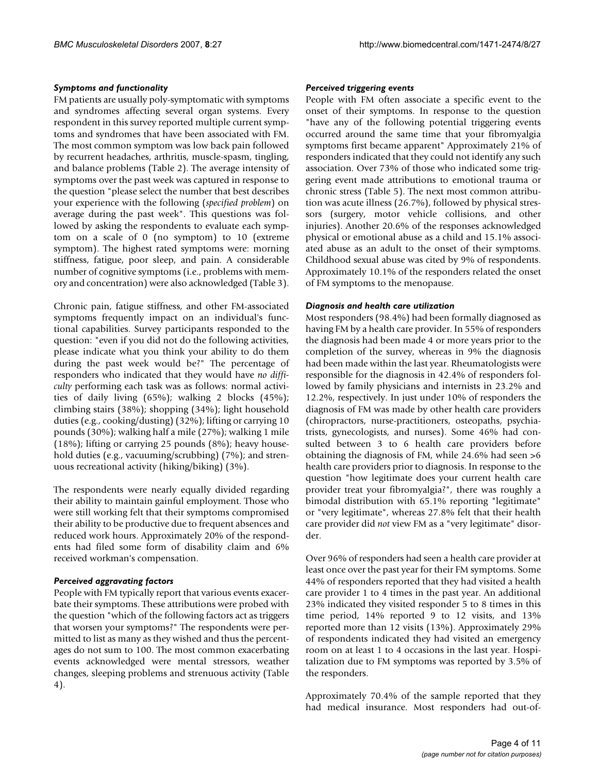### *Symptoms and functionality*

FM patients are usually poly-symptomatic with symptoms and syndromes affecting several organ systems. Every respondent in this survey reported multiple current symptoms and syndromes that have been associated with FM. The most common symptom was low back pain followed by recurrent headaches, arthritis, muscle-spasm, tingling, and balance problems (Table 2). The average intensity of symptoms over the past week was captured in response to the question "please select the number that best describes your experience with the following (*specified problem*) on average during the past week". This questions was followed by asking the respondents to evaluate each symptom on a scale of 0 (no symptom) to 10 (extreme symptom). The highest rated symptoms were: morning stiffness, fatigue, poor sleep, and pain. A considerable number of cognitive symptoms (i.e., problems with memory and concentration) were also acknowledged (Table 3).

Chronic pain, fatigue stiffness, and other FM-associated symptoms frequently impact on an individual's functional capabilities. Survey participants responded to the question: "even if you did not do the following activities, please indicate what you think your ability to do them during the past week would be?" The percentage of responders who indicated that they would have *no difficulty* performing each task was as follows: normal activities of daily living (65%); walking 2 blocks (45%); climbing stairs (38%); shopping (34%); light household duties (e.g., cooking/dusting) (32%); lifting or carrying 10 pounds (30%); walking half a mile (27%); walking 1 mile (18%); lifting or carrying 25 pounds (8%); heavy household duties (e.g., vacuuming/scrubbing) (7%); and strenuous recreational activity (hiking/biking) (3%).

The respondents were nearly equally divided regarding their ability to maintain gainful employment. Those who were still working felt that their symptoms compromised their ability to be productive due to frequent absences and reduced work hours. Approximately 20% of the respondents had filed some form of disability claim and 6% received workman's compensation.

### *Perceived aggravating factors*

People with FM typically report that various events exacerbate their symptoms. These attributions were probed with the question "which of the following factors act as triggers that worsen your symptoms?" The respondents were permitted to list as many as they wished and thus the percentages do not sum to 100. The most common exacerbating events acknowledged were mental stressors, weather changes, sleeping problems and strenuous activity (Table 4).

#### *Perceived triggering events*

People with FM often associate a specific event to the onset of their symptoms. In response to the question "have any of the following potential triggering events occurred around the same time that your fibromyalgia symptoms first became apparent" Approximately 21% of responders indicated that they could not identify any such association. Over 73% of those who indicated some triggering event made attributions to emotional trauma or chronic stress (Table 5). The next most common attribution was acute illness (26.7%), followed by physical stressors (surgery, motor vehicle collisions, and other injuries). Another 20.6% of the responses acknowledged physical or emotional abuse as a child and 15.1% associated abuse as an adult to the onset of their symptoms. Childhood sexual abuse was cited by 9% of respondents. Approximately 10.1% of the responders related the onset of FM symptoms to the menopause.

#### *Diagnosis and health care utilization*

Most responders (98.4%) had been formally diagnosed as having FM by a health care provider. In 55% of responders the diagnosis had been made 4 or more years prior to the completion of the survey, whereas in 9% the diagnosis had been made within the last year. Rheumatologists were responsible for the diagnosis in 42.4% of responders followed by family physicians and internists in 23.2% and 12.2%, respectively. In just under 10% of responders the diagnosis of FM was made by other health care providers (chiropractors, nurse-practitioners, osteopaths, psychiatrists, gynecologists, and nurses). Some 46% had consulted between 3 to 6 health care providers before obtaining the diagnosis of FM, while 24.6% had seen >6 health care providers prior to diagnosis. In response to the question "how legitimate does your current health care provider treat your fibromyalgia?", there was roughly a bimodal distribution with 65.1% reporting "legitimate" or "very legitimate", whereas 27.8% felt that their health care provider did *not* view FM as a "very legitimate" disorder.

Over 96% of responders had seen a health care provider at least once over the past year for their FM symptoms. Some 44% of responders reported that they had visited a health care provider 1 to 4 times in the past year. An additional 23% indicated they visited responder 5 to 8 times in this time period, 14% reported 9 to 12 visits, and 13% reported more than 12 visits (13%). Approximately 29% of respondents indicated they had visited an emergency room on at least 1 to 4 occasions in the last year. Hospitalization due to FM symptoms was reported by 3.5% of the responders.

Approximately 70.4% of the sample reported that they had medical insurance. Most responders had out-of-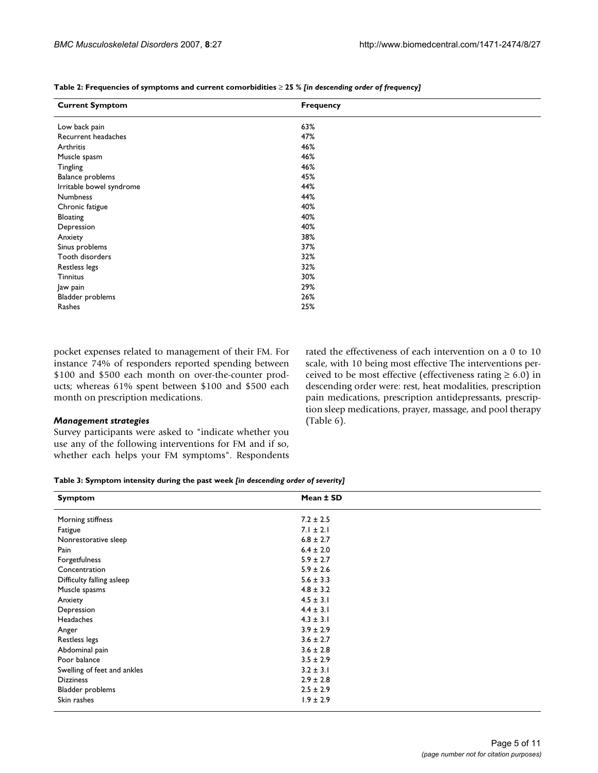| <b>Current Symptom</b>   | <b>Frequency</b> |
|--------------------------|------------------|
| Low back pain            | 63%              |
| Recurrent headaches      | 47%              |
| Arthritis                | 46%              |
| Muscle spasm             | 46%              |
| <b>Tingling</b>          | 46%              |
| <b>Balance problems</b>  | 45%              |
| Irritable bowel syndrome | 44%              |
| <b>Numbness</b>          | 44%              |
| Chronic fatigue          | 40%              |
| Bloating                 | 40%              |
| Depression               | 40%              |
| Anxiety                  | 38%              |
| Sinus problems           | 37%              |
| Tooth disorders          | 32%              |
| Restless legs            | 32%              |
| <b>Tinnitus</b>          | 30%              |
| Jaw pain                 | 29%              |
| <b>Bladder problems</b>  | 26%              |
| Rashes                   | 25%              |

**Table 2: Frequencies of symptoms and current comorbidities** ≥ **25 %** *[in descending order of frequency]*

pocket expenses related to management of their FM. For instance 74% of responders reported spending between \$100 and \$500 each month on over-the-counter products; whereas 61% spent between \$100 and \$500 each month on prescription medications.

#### *Management strategies*

Survey participants were asked to "indicate whether you use any of the following interventions for FM and if so, whether each helps your FM symptoms". Respondents rated the effectiveness of each intervention on a 0 to 10 scale, with 10 being most effective The interventions perceived to be most effective (effectiveness rating  $\geq 6.0$ ) in descending order were: rest, heat modalities, prescription pain medications, prescription antidepressants, prescription sleep medications, prayer, massage, and pool therapy (Table 6).

**Table 3: Symptom intensity during the past week** *[in descending order of severity]*

| <b>Symptom</b>              | Mean ± SD     |
|-----------------------------|---------------|
| Morning stiffness           | $7.2 \pm 2.5$ |
| Fatigue                     | $7.1 \pm 2.1$ |
| Nonrestorative sleep        | $6.8 \pm 2.7$ |
| Pain                        | $6.4 \pm 2.0$ |
| Forgetfulness               | $5.9 \pm 2.7$ |
| Concentration               | $5.9 \pm 2.6$ |
| Difficulty falling asleep   | $5.6 \pm 3.3$ |
| Muscle spasms               | $4.8 \pm 3.2$ |
| Anxiety                     | $4.5 \pm 3.1$ |
| Depression                  | $4.4 \pm 3.1$ |
| Headaches                   | $4.3 \pm 3.1$ |
| Anger                       | $3.9 \pm 2.9$ |
| Restless legs               | $3.6 \pm 2.7$ |
| Abdominal pain              | $3.6 \pm 2.8$ |
| Poor balance                | $3.5 \pm 2.9$ |
| Swelling of feet and ankles | $3.2 \pm 3.1$ |
| <b>Dizziness</b>            | $2.9 \pm 2.8$ |
| Bladder problems            | $2.5 \pm 2.9$ |
| Skin rashes                 | $1.9 \pm 2.9$ |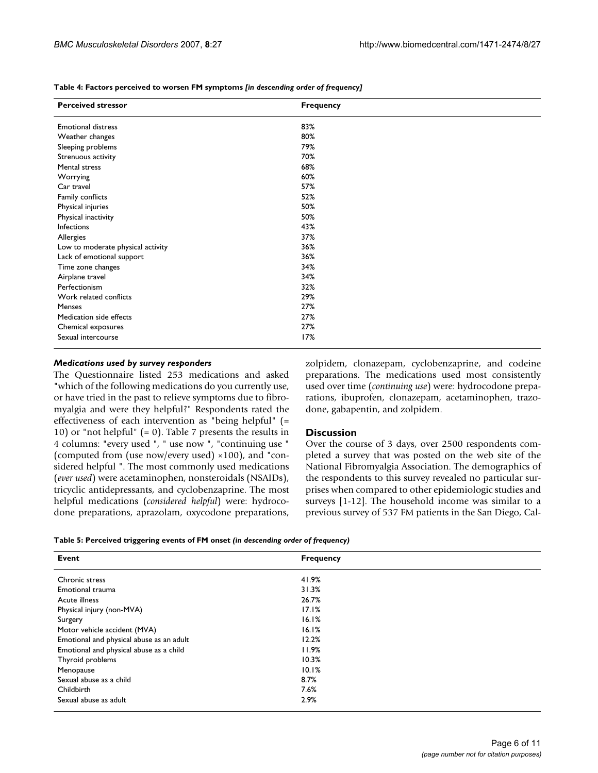| <b>Perceived stressor</b>         | <b>Frequency</b> |
|-----------------------------------|------------------|
| <b>Emotional distress</b>         | 83%              |
| Weather changes                   | 80%              |
| Sleeping problems                 | 79%              |
| Strenuous activity                | 70%              |
| Mental stress                     | 68%              |
| Worrying                          | 60%              |
| Car travel                        | 57%              |
| Family conflicts                  | 52%              |
| Physical injuries                 | 50%              |
| Physical inactivity               | 50%              |
| Infections                        | 43%              |
| Allergies                         | 37%              |
| Low to moderate physical activity | 36%              |
| Lack of emotional support         | 36%              |
| Time zone changes                 | 34%              |
| Airplane travel                   | 34%              |
| Perfectionism                     | 32%              |
| Work related conflicts            | 29%              |
| <b>Menses</b>                     | 27%              |
| Medication side effects           | 27%              |
| Chemical exposures                | 27%              |
| Sexual intercourse                | 17%              |

**Table 4: Factors perceived to worsen FM symptoms** *[in descending order of frequency]*

#### *Medications used by survey responders*

The Questionnaire listed 253 medications and asked "which of the following medications do you currently use, or have tried in the past to relieve symptoms due to fibromyalgia and were they helpful?" Respondents rated the effectiveness of each intervention as "being helpful" (= 10) or "not helpful" (= 0). Table 7 presents the results in 4 columns: "every used ", " use now ", "continuing use " (computed from (use now/every used) ×100), and "considered helpful ". The most commonly used medications (*ever used*) were acetaminophen, nonsteroidals (NSAIDs), tricyclic antidepressants, and cyclobenzaprine. The most helpful medications (*considered helpful*) were: hydrocodone preparations, aprazolam, oxycodone preparations, zolpidem, clonazepam, cyclobenzaprine, and codeine preparations. The medications used most consistently used over time (*continuing use*) were: hydrocodone preparations, ibuprofen, clonazepam, acetaminophen, trazodone, gabapentin, and zolpidem.

#### **Discussion**

Over the course of 3 days, over 2500 respondents completed a survey that was posted on the web site of the National Fibromyalgia Association. The demographics of the respondents to this survey revealed no particular surprises when compared to other epidemiologic studies and surveys [1-12]. The household income was similar to a previous survey of 537 FM patients in the San Diego, Cal-

| Table 5: Perceived triggering events of FM onset (in descending order of frequency) |  |
|-------------------------------------------------------------------------------------|--|
|-------------------------------------------------------------------------------------|--|

| Event                                    | <b>Frequency</b> |
|------------------------------------------|------------------|
| Chronic stress                           | 41.9%            |
| Emotional trauma                         | 31.3%            |
| Acute illness                            | 26.7%            |
| Physical injury (non-MVA)                | 17.1%            |
| Surgery                                  | 16.1%            |
| Motor vehicle accident (MVA)             | 16.1%            |
| Emotional and physical abuse as an adult | 12.2%            |
| Emotional and physical abuse as a child  | 11.9%            |
| Thyroid problems                         | 10.3%            |
| Menopause                                | 10.1%            |
| Sexual abuse as a child                  | 8.7%             |
| Childbirth                               | 7.6%             |
| Sexual abuse as adult                    | 2.9%             |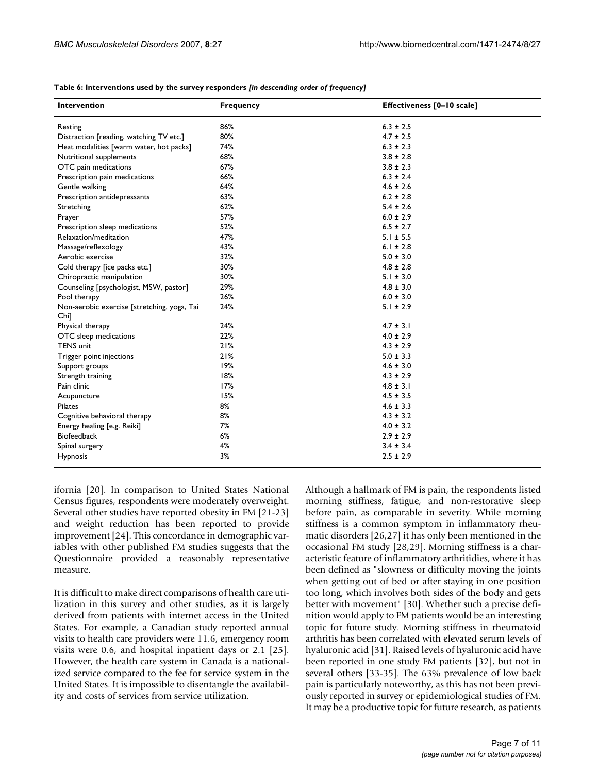| Intervention                                                    | <b>Frequency</b> | Effectiveness [0-10 scale] |  |  |
|-----------------------------------------------------------------|------------------|----------------------------|--|--|
| Resting                                                         | 86%              | $6.3 \pm 2.5$              |  |  |
| Distraction [reading, watching TV etc.]                         | 80%              | $4.7 \pm 2.5$              |  |  |
| Heat modalities [warm water, hot packs]                         | 74%              | $6.3 \pm 2.3$              |  |  |
| Nutritional supplements                                         | 68%              | $3.8 \pm 2.8$              |  |  |
| OTC pain medications                                            | 67%              | $3.8 \pm 2.3$              |  |  |
| Prescription pain medications                                   | 66%              | $6.3 \pm 2.4$              |  |  |
| Gentle walking                                                  | 64%              | $4.6 \pm 2.6$              |  |  |
| Prescription antidepressants                                    | 63%              | $6.2 \pm 2.8$              |  |  |
| Stretching                                                      | 62%              | $5.4 \pm 2.6$              |  |  |
| Prayer                                                          | 57%              | $6.0 \pm 2.9$              |  |  |
| Prescription sleep medications                                  | 52%              | $6.5 \pm 2.7$              |  |  |
| Relaxation/meditation                                           | 47%              | $5.1 \pm 5.5$              |  |  |
| Massage/reflexology                                             | 43%              | 6.1 $\pm$ 2.8              |  |  |
| Aerobic exercise                                                | 32%              | $5.0 \pm 3.0$              |  |  |
| Cold therapy [ice packs etc.]                                   | 30%              | $4.8 \pm 2.8$              |  |  |
| Chiropractic manipulation                                       | 30%              | $5.1 \pm 3.0$              |  |  |
| Counseling [psychologist, MSW, pastor]                          | 29%              | $4.8 \pm 3.0$              |  |  |
| Pool therapy                                                    | 26%              | $6.0 \pm 3.0$              |  |  |
| Non-aerobic exercise [stretching, yoga, Tai<br>Chi <sub>1</sub> | 24%              | $5.1 \pm 2.9$              |  |  |
| Physical therapy                                                | 24%              | $4.7 \pm 3.1$              |  |  |
| OTC sleep medications                                           | 22%              | $4.0 \pm 2.9$              |  |  |
| <b>TENS</b> unit                                                | 21%              | $4.3 \pm 2.9$              |  |  |
| Trigger point injections                                        | 21%              | $5.0 \pm 3.3$              |  |  |
| Support groups                                                  | 19%              | $4.6 \pm 3.0$              |  |  |
| Strength training                                               | 18%              | $4.3 \pm 2.9$              |  |  |
| Pain clinic                                                     | 17%              | $4.8 \pm 3.1$              |  |  |
| Acupuncture                                                     | 15%              | $4.5 \pm 3.5$              |  |  |
| Pilates                                                         | 8%               | $4.6 \pm 3.3$              |  |  |
| Cognitive behavioral therapy                                    | 8%               | $4.3 \pm 3.2$              |  |  |
| Energy healing [e.g. Reiki]                                     | 7%               | $4.0 \pm 3.2$              |  |  |
| Biofeedback                                                     | 6%               | $2.9 \pm 2.9$              |  |  |
| Spinal surgery                                                  | 4%               | $3.4 \pm 3.4$              |  |  |
| <b>Hypnosis</b>                                                 | 3%               | $2.5 \pm 2.9$              |  |  |

**Table 6: Interventions used by the survey responders** *[in descending order of frequency]*

ifornia [20]. In comparison to United States National Census figures, respondents were moderately overweight. Several other studies have reported obesity in FM [21-23] and weight reduction has been reported to provide improvement [24]. This concordance in demographic variables with other published FM studies suggests that the Questionnaire provided a reasonably representative measure.

It is difficult to make direct comparisons of health care utilization in this survey and other studies, as it is largely derived from patients with internet access in the United States. For example, a Canadian study reported annual visits to health care providers were 11.6, emergency room visits were 0.6, and hospital inpatient days or 2.1 [25]. However, the health care system in Canada is a nationalized service compared to the fee for service system in the United States. It is impossible to disentangle the availability and costs of services from service utilization.

Although a hallmark of FM is pain, the respondents listed morning stiffness, fatigue, and non-restorative sleep before pain, as comparable in severity. While morning stiffness is a common symptom in inflammatory rheumatic disorders [26,27] it has only been mentioned in the occasional FM study [28,29]. Morning stiffness is a characteristic feature of inflammatory arthritidies, where it has been defined as "slowness or difficulty moving the joints when getting out of bed or after staying in one position too long, which involves both sides of the body and gets better with movement" [30]. Whether such a precise definition would apply to FM patients would be an interesting topic for future study. Morning stiffness in rheumatoid arthritis has been correlated with elevated serum levels of hyaluronic acid [31]. Raised levels of hyaluronic acid have been reported in one study FM patients [32], but not in several others [33-35]. The 63% prevalence of low back pain is particularly noteworthy, as this has not been previously reported in survey or epidemiological studies of FM. It may be a productive topic for future research, as patients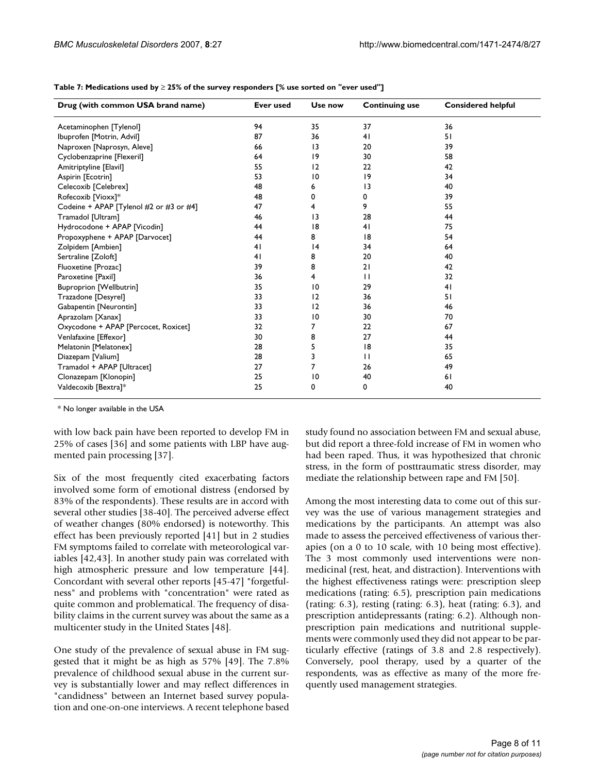| Drug (with common USA brand name)       | <b>Ever used</b> | Use now         | <b>Continuing use</b> | <b>Considered helpful</b> |
|-----------------------------------------|------------------|-----------------|-----------------------|---------------------------|
| Acetaminophen [Tylenol]                 | 94               | 35              | 37                    | 36                        |
| Ibuprofen [Motrin, Advil]               | 87               | 36              | 41                    | 51                        |
| Naproxen [Naprosyn, Aleve]              | 66               | 3               | 20                    | 39                        |
| Cyclobenzaprine [Flexeril]              | 64               | 9               | 30                    | 58                        |
| Amitriptyline [Elavil]                  | 55               | 12              | 22                    | 42                        |
| Aspirin [Ecotrin]                       | 53               | $\overline{10}$ | 9                     | 34                        |
| Celecoxib [Celebrex]                    | 48               | 6               | $\overline{13}$       | 40                        |
| Rofecoxib [Vioxx]*                      | 48               | 0               | 0                     | 39                        |
| Codeine + APAP [Tylenol #2 or #3 or #4] | 47               | 4               | 9                     | 55                        |
| Tramadol [Ultram]                       | 46               | 3               | 28                    | 44                        |
| Hydrocodone + APAP [Vicodin]            | 44               | 8               | 41                    | 75                        |
| Propoxyphene + APAP [Darvocet]          | 44               | 8               | 8                     | 54                        |
| Zolpidem [Ambien]                       | 41               | 4               | 34                    | 64                        |
| Sertraline [Zoloft]                     | 41               | 8               | 20                    | 40                        |
| Fluoxetine [Prozac]                     | 39               | 8               | 21                    | 42                        |
| Paroxetine [Paxil]                      | 36               | 4               | $\mathbf{H}$          | 32                        |
| <b>Buproprion [Wellbutrin]</b>          | 35               | $\overline{10}$ | 29                    | 41                        |
| Trazadone [Desyrel]                     | 33               | 12              | 36                    | 51                        |
| Gabapentin [Neurontin]                  | 33               | 12              | 36                    | 46                        |
| Aprazolam [Xanax]                       | 33               | 10              | 30                    | 70                        |
| Oxycodone + APAP [Percocet, Roxicet]    | 32               | 7               | 22                    | 67                        |
| Venlafaxine [Effexor]                   | 30               | 8               | 27                    | 44                        |
| Melatonin [Melatonex]                   | 28               | 5               | 18                    | 35                        |
| Diazepam [Valium]                       | 28               | 3               | $\mathbf{H}$          | 65                        |
| Tramadol + APAP [Ultracet]              | 27               | 7               | 26                    | 49                        |
| Clonazepam [Klonopin]                   | 25               | $\overline{10}$ | 40                    | 61                        |
| Valdecoxib [Bextra]*                    | 25               | 0               | 0                     | 40                        |

**Table 7: Medications used by** ≥ **25% of the survey responders [% use sorted on "ever used"]**

\* No longer available in the USA

with low back pain have been reported to develop FM in 25% of cases [36] and some patients with LBP have augmented pain processing [37].

Six of the most frequently cited exacerbating factors involved some form of emotional distress (endorsed by 83% of the respondents). These results are in accord with several other studies [38-40]. The perceived adverse effect of weather changes (80% endorsed) is noteworthy. This effect has been previously reported [41] but in 2 studies FM symptoms failed to correlate with meteorological variables [42,43]. In another study pain was correlated with high atmospheric pressure and low temperature [44]. Concordant with several other reports [45-47] "forgetfulness" and problems with "concentration" were rated as quite common and problematical. The frequency of disability claims in the current survey was about the same as a multicenter study in the United States [48].

One study of the prevalence of sexual abuse in FM suggested that it might be as high as 57% [49]. The 7.8% prevalence of childhood sexual abuse in the current survey is substantially lower and may reflect differences in "candidness" between an Internet based survey population and one-on-one interviews. A recent telephone based

study found no association between FM and sexual abuse, but did report a three-fold increase of FM in women who had been raped. Thus, it was hypothesized that chronic stress, in the form of posttraumatic stress disorder, may mediate the relationship between rape and FM [50].

Among the most interesting data to come out of this survey was the use of various management strategies and medications by the participants. An attempt was also made to assess the perceived effectiveness of various therapies (on a 0 to 10 scale, with 10 being most effective). The 3 most commonly used interventions were nonmedicinal (rest, heat, and distraction). Interventions with the highest effectiveness ratings were: prescription sleep medications (rating: 6.5), prescription pain medications (rating: 6.3), resting (rating: 6.3), heat (rating: 6.3), and prescription antidepressants (rating: 6.2). Although nonprescription pain medications and nutritional supplements were commonly used they did not appear to be particularly effective (ratings of 3.8 and 2.8 respectively). Conversely, pool therapy, used by a quarter of the respondents, was as effective as many of the more frequently used management strategies.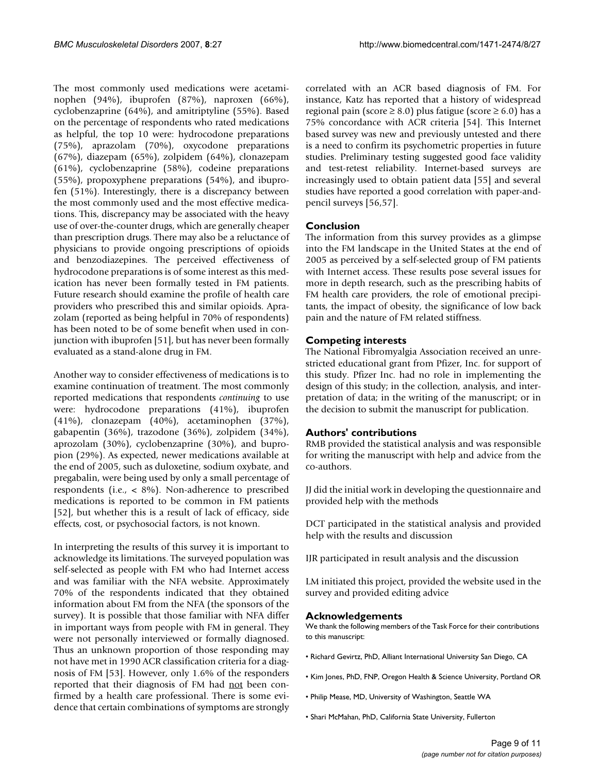The most commonly used medications were acetaminophen (94%), ibuprofen (87%), naproxen (66%), cyclobenzaprine (64%), and amitriptyline (55%). Based on the percentage of respondents who rated medications as helpful, the top 10 were: hydrocodone preparations (75%), aprazolam (70%), oxycodone preparations (67%), diazepam (65%), zolpidem (64%), clonazepam (61%), cyclobenzaprine (58%), codeine preparations (55%), propoxyphene preparations (54%), and ibuprofen (51%). Interestingly, there is a discrepancy between the most commonly used and the most effective medications. This, discrepancy may be associated with the heavy use of over-the-counter drugs, which are generally cheaper than prescription drugs. There may also be a reluctance of physicians to provide ongoing prescriptions of opioids and benzodiazepines. The perceived effectiveness of hydrocodone preparations is of some interest as this medication has never been formally tested in FM patients. Future research should examine the profile of health care providers who prescribed this and similar opioids. Aprazolam (reported as being helpful in 70% of respondents) has been noted to be of some benefit when used in conjunction with ibuprofen [51], but has never been formally evaluated as a stand-alone drug in FM.

Another way to consider effectiveness of medications is to examine continuation of treatment. The most commonly reported medications that respondents *continuing* to use were: hydrocodone preparations (41%), ibuprofen (41%), clonazepam (40%), acetaminophen (37%), gabapentin (36%), trazodone (36%), zolpidem (34%), aprozolam (30%), cyclobenzaprine (30%), and bupropion (29%). As expected, newer medications available at the end of 2005, such as duloxetine, sodium oxybate, and pregabalin, were being used by only a small percentage of respondents (i.e., < 8%). Non-adherence to prescribed medications is reported to be common in FM patients [52], but whether this is a result of lack of efficacy, side effects, cost, or psychosocial factors, is not known.

In interpreting the results of this survey it is important to acknowledge its limitations. The surveyed population was self-selected as people with FM who had Internet access and was familiar with the NFA website. Approximately 70% of the respondents indicated that they obtained information about FM from the NFA (the sponsors of the survey). It is possible that those familiar with NFA differ in important ways from people with FM in general. They were not personally interviewed or formally diagnosed. Thus an unknown proportion of those responding may not have met in 1990 ACR classification criteria for a diagnosis of FM [53]. However, only 1.6% of the responders reported that their diagnosis of FM had not been confirmed by a health care professional. There is some evidence that certain combinations of symptoms are strongly

correlated with an ACR based diagnosis of FM. For instance, Katz has reported that a history of widespread regional pain (score  $\geq$  8.0) plus fatigue (score  $\geq$  6.0) has a 75% concordance with ACR criteria [54]. This Internet based survey was new and previously untested and there is a need to confirm its psychometric properties in future studies. Preliminary testing suggested good face validity and test-retest reliability. Internet-based surveys are increasingly used to obtain patient data [55] and several studies have reported a good correlation with paper-andpencil surveys [56,57].

# **Conclusion**

The information from this survey provides as a glimpse into the FM landscape in the United States at the end of 2005 as perceived by a self-selected group of FM patients with Internet access. These results pose several issues for more in depth research, such as the prescribing habits of FM health care providers, the role of emotional precipitants, the impact of obesity, the significance of low back pain and the nature of FM related stiffness.

# **Competing interests**

The National Fibromyalgia Association received an unrestricted educational grant from Pfizer, Inc. for support of this study. Pfizer Inc. had no role in implementing the design of this study; in the collection, analysis, and interpretation of data; in the writing of the manuscript; or in the decision to submit the manuscript for publication.

# **Authors' contributions**

RMB provided the statistical analysis and was responsible for writing the manuscript with help and advice from the co-authors.

JJ did the initial work in developing the questionnaire and provided help with the methods

DCT participated in the statistical analysis and provided help with the results and discussion

IJR participated in result analysis and the discussion

LM initiated this project, provided the website used in the survey and provided editing advice

# **Acknowledgements**

We thank the following members of the Task Force for their contributions to this manuscript:

- Richard Gevirtz, PhD, Alliant International University San Diego, CA
- Kim Jones, PhD, FNP, Oregon Health & Science University, Portland OR
- Philip Mease, MD, University of Washington, Seattle WA
- Shari McMahan, PhD, California State University, Fullerton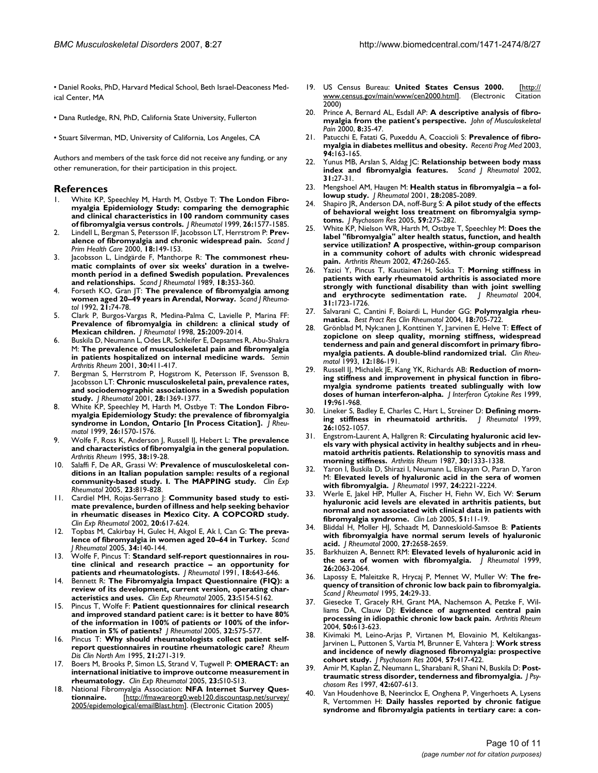- Daniel Rooks, PhD, Harvard Medical School, Beth Israel-Deaconess Medical Center, MA
- Dana Rutledge, RN, PhD, California State University, Fullerton
- Stuart Silverman, MD, University of California, Los Angeles, CA

Authors and members of the task force did not receive any funding, or any other remuneration, for their participation in this project.

#### **References**

- 1. White KP, Speechley M, Harth M, Ostbye T: **[The London Fibro](http://www.ncbi.nlm.nih.gov/entrez/query.fcgi?cmd=Retrieve&db=PubMed&dopt=Abstract&list_uids=10405948)[myalgia Epidemiology Study: comparing the demographic](http://www.ncbi.nlm.nih.gov/entrez/query.fcgi?cmd=Retrieve&db=PubMed&dopt=Abstract&list_uids=10405948) and clinical characteristics in 100 random community cases [of fibromyalgia versus controls.](http://www.ncbi.nlm.nih.gov/entrez/query.fcgi?cmd=Retrieve&db=PubMed&dopt=Abstract&list_uids=10405948)** *J Rheumatol* 1999, **26:**1577-1585.
- 2. Lindell L, Bergman S, Petersson IF, Jacobsson LT, Herrstrom P: **[Prev](http://www.ncbi.nlm.nih.gov/entrez/query.fcgi?cmd=Retrieve&db=PubMed&dopt=Abstract&list_uids=11097099)[alence of fibromyalgia and chronic widespread pain.](http://www.ncbi.nlm.nih.gov/entrez/query.fcgi?cmd=Retrieve&db=PubMed&dopt=Abstract&list_uids=11097099)** *Scand J Prim Health Care* 2000, **18:**149-153.
- 3. Jacobsson L, Lindgärde F, Manthorpe R: **[The commonest rheu](http://www.ncbi.nlm.nih.gov/entrez/query.fcgi?cmd=Retrieve&db=PubMed&dopt=Abstract&list_uids=2617226)[matic complaints of over six weeks' duration in a twelve](http://www.ncbi.nlm.nih.gov/entrez/query.fcgi?cmd=Retrieve&db=PubMed&dopt=Abstract&list_uids=2617226)month period in a defined Swedish population. Prevalences [and relationships.](http://www.ncbi.nlm.nih.gov/entrez/query.fcgi?cmd=Retrieve&db=PubMed&dopt=Abstract&list_uids=2617226)** *Scand J Rheumatol* 1989, **18:**353-360.
- 4. Forseth KO, Gran JT: **[The prevalence of fibromyalgia among](http://www.ncbi.nlm.nih.gov/entrez/query.fcgi?cmd=Retrieve&db=PubMed&dopt=Abstract&list_uids=1570493) [women aged 20–49 years in Arendal, Norway.](http://www.ncbi.nlm.nih.gov/entrez/query.fcgi?cmd=Retrieve&db=PubMed&dopt=Abstract&list_uids=1570493)** *Scand J Rheumatol* 1992, **21:**74-78.
- 5. Clark P, Burgos-Vargas R, Medina-Palma C, Lavielle P, Marina FF: **[Prevalence of fibromyalgia in children: a clinical study of](http://www.ncbi.nlm.nih.gov/entrez/query.fcgi?cmd=Retrieve&db=PubMed&dopt=Abstract&list_uids=9779859) [Mexican children.](http://www.ncbi.nlm.nih.gov/entrez/query.fcgi?cmd=Retrieve&db=PubMed&dopt=Abstract&list_uids=9779859)** *J Rheumatol* 1998, **25:**2009-2014.
- 6. Buskila D, Neumann L, Odes LR, Schleifer E, Depsames R, Abu-Shakra M: **[The prevalence of musculoskeletal pain and fibromyalgia](http://www.ncbi.nlm.nih.gov/entrez/query.fcgi?cmd=Retrieve&db=PubMed&dopt=Abstract&list_uids=11404824) [in patients hospitalized on internal medicine wards.](http://www.ncbi.nlm.nih.gov/entrez/query.fcgi?cmd=Retrieve&db=PubMed&dopt=Abstract&list_uids=11404824)** *Semin Arthritis Rheum* 2001, **30:**411-417.
- 7. Bergman S, Herrstrom P, Hogstrom K, Petersson IF, Svensson B, Jacobsson LT: **[Chronic musculoskeletal pain, prevalence rates,](http://www.ncbi.nlm.nih.gov/entrez/query.fcgi?cmd=Retrieve&db=PubMed&dopt=Abstract&list_uids=11409133) [and sociodemographic associations in a Swedish population](http://www.ncbi.nlm.nih.gov/entrez/query.fcgi?cmd=Retrieve&db=PubMed&dopt=Abstract&list_uids=11409133) [study.](http://www.ncbi.nlm.nih.gov/entrez/query.fcgi?cmd=Retrieve&db=PubMed&dopt=Abstract&list_uids=11409133)** *J Rheumatol* 2001, **28:**1369-1377.
- 8. White KP, Speechley M, Harth M, Ostbye T: **[The London Fibro](http://www.ncbi.nlm.nih.gov/entrez/query.fcgi?cmd=Retrieve&db=PubMed&dopt=Abstract&list_uids=10405947)[myalgia Epidemiology Study: the prevalence of fibromyalgia](http://www.ncbi.nlm.nih.gov/entrez/query.fcgi?cmd=Retrieve&db=PubMed&dopt=Abstract&list_uids=10405947) [syndrome in London, Ontario \[In Process Citation\].](http://www.ncbi.nlm.nih.gov/entrez/query.fcgi?cmd=Retrieve&db=PubMed&dopt=Abstract&list_uids=10405947)** *J Rheumatol* 1999, **26:**1570-1576.
- 9. Wolfe F, Ross K, Anderson J, Russell IJ, Hebert L: **[The prevalence](http://www.ncbi.nlm.nih.gov/entrez/query.fcgi?cmd=Retrieve&db=PubMed&dopt=Abstract&list_uids=7818567) [and characteristics of fibromyalgia in the general population.](http://www.ncbi.nlm.nih.gov/entrez/query.fcgi?cmd=Retrieve&db=PubMed&dopt=Abstract&list_uids=7818567)** *Arthritis Rheum* 1995, **38:**19-28.
- 10. Salaffi F, De AR, Grassi W: **[Prevalence of musculoskeletal con](http://www.ncbi.nlm.nih.gov/entrez/query.fcgi?cmd=Retrieve&db=PubMed&dopt=Abstract&list_uids=16396700)[ditions in an Italian population sample: results of a regional](http://www.ncbi.nlm.nih.gov/entrez/query.fcgi?cmd=Retrieve&db=PubMed&dopt=Abstract&list_uids=16396700) [community-based study. I. The MAPPING study.](http://www.ncbi.nlm.nih.gov/entrez/query.fcgi?cmd=Retrieve&db=PubMed&dopt=Abstract&list_uids=16396700)** *Clin Exp Rheumatol* 2005, **23:**819-828.
- 11. Cardiel MH, Rojas-Serrano J: **[Community based study to esti](http://www.ncbi.nlm.nih.gov/entrez/query.fcgi?cmd=Retrieve&db=PubMed&dopt=Abstract&list_uids=12412191)[mate prevalence, burden of illness and help seeking behavior](http://www.ncbi.nlm.nih.gov/entrez/query.fcgi?cmd=Retrieve&db=PubMed&dopt=Abstract&list_uids=12412191) in rheumatic diseases in Mexico City. A COPCORD study.** *Clin Exp Rheumatol* 2002, **20:**617-624.
- 12. Topbas M, Cakirbay H, Gulec H, Akgol E, Ak I, Can G: **[The preva](http://www.ncbi.nlm.nih.gov/entrez/query.fcgi?cmd=Retrieve&db=PubMed&dopt=Abstract&list_uids=16095011)[lence of fibromyalgia in women aged 20–64 in Turkey.](http://www.ncbi.nlm.nih.gov/entrez/query.fcgi?cmd=Retrieve&db=PubMed&dopt=Abstract&list_uids=16095011)** *Scand J Rheumatol* 2005, **34:**140-144.
- 13. Wolfe F, Pincus T: **[Standard self-report questionnaires in rou](http://www.ncbi.nlm.nih.gov/entrez/query.fcgi?cmd=Retrieve&db=PubMed&dopt=Abstract&list_uids=1865407)[tine clinical and research practice – an opportunity for](http://www.ncbi.nlm.nih.gov/entrez/query.fcgi?cmd=Retrieve&db=PubMed&dopt=Abstract&list_uids=1865407) [patients and rheumatologists.](http://www.ncbi.nlm.nih.gov/entrez/query.fcgi?cmd=Retrieve&db=PubMed&dopt=Abstract&list_uids=1865407)** *J Rheumatol* 1991, **18:**643-646.
- 14. Bennett R: **[The Fibromyalgia Impact Questionnaire \(FIQ\): a](http://www.ncbi.nlm.nih.gov/entrez/query.fcgi?cmd=Retrieve&db=PubMed&dopt=Abstract&list_uids=16273800) [review of its development, current version, operating char](http://www.ncbi.nlm.nih.gov/entrez/query.fcgi?cmd=Retrieve&db=PubMed&dopt=Abstract&list_uids=16273800)[acteristics and uses.](http://www.ncbi.nlm.nih.gov/entrez/query.fcgi?cmd=Retrieve&db=PubMed&dopt=Abstract&list_uids=16273800)** *Clin Exp Rheumatol* 2005, **23:**S154-S162.
- 15. Pincus T, Wolfe F: **[Patient questionnaires for clinical research](http://www.ncbi.nlm.nih.gov/entrez/query.fcgi?cmd=Retrieve&db=PubMed&dopt=Abstract&list_uids=15801008) [and improved standard patient care: is it better to have 80%](http://www.ncbi.nlm.nih.gov/entrez/query.fcgi?cmd=Retrieve&db=PubMed&dopt=Abstract&list_uids=15801008) of the information in 100% of patients or 100% of the infor[mation in 5% of patients?](http://www.ncbi.nlm.nih.gov/entrez/query.fcgi?cmd=Retrieve&db=PubMed&dopt=Abstract&list_uids=15801008)** *J Rheumatol* 2005, **32:**575-577.
- 16. Pincus T: **[Why should rheumatologists collect patient self](http://www.ncbi.nlm.nih.gov/entrez/query.fcgi?cmd=Retrieve&db=PubMed&dopt=Abstract&list_uids=7631031)[report questionnaires in routine rheumatologic care?](http://www.ncbi.nlm.nih.gov/entrez/query.fcgi?cmd=Retrieve&db=PubMed&dopt=Abstract&list_uids=7631031)** *Rheum Dis Clin North Am* 1995, **21:**271-319.
- 17. Boers M, Brooks P, Simon LS, Strand V, Tugwell P: **[OMERACT: an](http://www.ncbi.nlm.nih.gov/entrez/query.fcgi?cmd=Retrieve&db=PubMed&dopt=Abstract&list_uids=16273779) [international initiative to improve outcome measurement in](http://www.ncbi.nlm.nih.gov/entrez/query.fcgi?cmd=Retrieve&db=PubMed&dopt=Abstract&list_uids=16273779) [rheumatology.](http://www.ncbi.nlm.nih.gov/entrez/query.fcgi?cmd=Retrieve&db=PubMed&dopt=Abstract&list_uids=16273779)** *Clin Exp Rheumatol* 2005, **23:**S10-S13.
- 18. National Fibromyalgia Association: **NFA Internet Survey Questionnaire.** [[http://fmawareorg0.web120.discountasp.net/survey/](http://fmawareorg0.web120.discountasp.net/survey/2005/epidemological/emailBlast.htm) [2005/epidemological/emailBlast.htm\]](http://fmawareorg0.web120.discountasp.net/survey/2005/epidemological/emailBlast.htm). (Electronic Citation 2005)
- 19. US Census Bureau: **United States Census 2000.** [\[http://](http://www.census.gov/main/www/cen2000.html) [www.census.gov/main/www/cen2000.html\]](http://www.census.gov/main/www/cen2000.html). (Electronic 2000)
- 20. Prince A, Bernard AL, Esdall AP: **A descriptive analysis of fibromyalgia from the patient's perspective.** *John of Musculoskeletal Pain* 2000, **8:**35-47.
- 21. Patucchi E, Fatati G, Puxeddu A, Coaccioli S: **[Prevalence of fibro](http://www.ncbi.nlm.nih.gov/entrez/query.fcgi?cmd=Retrieve&db=PubMed&dopt=Abstract&list_uids=12677786)[myalgia in diabetes mellitus and obesity.](http://www.ncbi.nlm.nih.gov/entrez/query.fcgi?cmd=Retrieve&db=PubMed&dopt=Abstract&list_uids=12677786)** *Recenti Prog Med* 2003, **94:**163-165.
- 22. Yunus MB, Arslan S, Aldag JC: **[Relationship between body mass](http://www.ncbi.nlm.nih.gov/entrez/query.fcgi?cmd=Retrieve&db=PubMed&dopt=Abstract&list_uids=11922197) [index and fibromyalgia features.](http://www.ncbi.nlm.nih.gov/entrez/query.fcgi?cmd=Retrieve&db=PubMed&dopt=Abstract&list_uids=11922197)** *Scand J Rheumatol* 2002, **31:**27-31.
- 23. Mengshoel AM, Haugen M: **[Health status in fibromyalgia a fol](http://www.ncbi.nlm.nih.gov/entrez/query.fcgi?cmd=Retrieve&db=PubMed&dopt=Abstract&list_uids=11550978)[lowup study.](http://www.ncbi.nlm.nih.gov/entrez/query.fcgi?cmd=Retrieve&db=PubMed&dopt=Abstract&list_uids=11550978)** *J Rheumatol* 2001, **28:**2085-2089.
- 24. Shapiro JR, Anderson DA, noff-Burg S: **[A pilot study of the effects](http://www.ncbi.nlm.nih.gov/entrez/query.fcgi?cmd=Retrieve&db=PubMed&dopt=Abstract&list_uids=16253617) [of behavioral weight loss treatment on fibromyalgia symp](http://www.ncbi.nlm.nih.gov/entrez/query.fcgi?cmd=Retrieve&db=PubMed&dopt=Abstract&list_uids=16253617)[toms.](http://www.ncbi.nlm.nih.gov/entrez/query.fcgi?cmd=Retrieve&db=PubMed&dopt=Abstract&list_uids=16253617)** *J Psychosom Res* 2005, **59:**275-282.
- 25. White KP, Nielson WR, Harth M, Ostbye T, Speechley M: **[Does the](http://www.ncbi.nlm.nih.gov/entrez/query.fcgi?cmd=Retrieve&db=PubMed&dopt=Abstract&list_uids=12115155) [label "fibromyalgia" alter health status, function, and health](http://www.ncbi.nlm.nih.gov/entrez/query.fcgi?cmd=Retrieve&db=PubMed&dopt=Abstract&list_uids=12115155) service utilization? A prospective, within-group comparison in a community cohort of adults with chronic widespread [pain.](http://www.ncbi.nlm.nih.gov/entrez/query.fcgi?cmd=Retrieve&db=PubMed&dopt=Abstract&list_uids=12115155)** *Arthritis Rheum* 2002, **47:**260-265.
- 26. Yazici Y, Pincus T, Kautiainen H, Sokka T: **[Morning stiffness in](http://www.ncbi.nlm.nih.gov/entrez/query.fcgi?cmd=Retrieve&db=PubMed&dopt=Abstract&list_uids=15338490) [patients with early rheumatoid arthritis is associated more](http://www.ncbi.nlm.nih.gov/entrez/query.fcgi?cmd=Retrieve&db=PubMed&dopt=Abstract&list_uids=15338490) strongly with functional disability than with joint swelling [and erythrocyte sedimentation rate.](http://www.ncbi.nlm.nih.gov/entrez/query.fcgi?cmd=Retrieve&db=PubMed&dopt=Abstract&list_uids=15338490)** *J Rheumatol* 2004, **31:**1723-1726.
- 27. Salvarani C, Cantini F, Boiardi L, Hunder GG: **[Polymyalgia rheu](http://www.ncbi.nlm.nih.gov/entrez/query.fcgi?cmd=Retrieve&db=PubMed&dopt=Abstract&list_uids=15454128)[matica.](http://www.ncbi.nlm.nih.gov/entrez/query.fcgi?cmd=Retrieve&db=PubMed&dopt=Abstract&list_uids=15454128)** *Best Pract Res Clin Rheumatol* 2004, **18:**705-722.
- 28. Grönblad M, Nyk:anen J, Konttinen Y, J:arvinen E, Helve T: [Effect of](http://www.ncbi.nlm.nih.gov/entrez/query.fcgi?cmd=Retrieve&db=PubMed&dopt=Abstract&list_uids=8358976) **[zopiclone on sleep quality, morning stiffness, widespread](http://www.ncbi.nlm.nih.gov/entrez/query.fcgi?cmd=Retrieve&db=PubMed&dopt=Abstract&list_uids=8358976) tenderness and pain and general discomfort in primary fibro[myalgia patients. A double-blind randomized trial.](http://www.ncbi.nlm.nih.gov/entrez/query.fcgi?cmd=Retrieve&db=PubMed&dopt=Abstract&list_uids=8358976)** *Clin Rheumatol* 1993, **12:**186-191.
- 29. Russell IJ, Michalek JE, Kang YK, Richards AB: **[Reduction of morn](http://www.ncbi.nlm.nih.gov/entrez/query.fcgi?cmd=Retrieve&db=PubMed&dopt=Abstract&list_uids=10476944)[ing stiffness and improvement in physical function in fibro](http://www.ncbi.nlm.nih.gov/entrez/query.fcgi?cmd=Retrieve&db=PubMed&dopt=Abstract&list_uids=10476944)myalgia syndrome patients treated sublingually with low [doses of human interferon-alpha.](http://www.ncbi.nlm.nih.gov/entrez/query.fcgi?cmd=Retrieve&db=PubMed&dopt=Abstract&list_uids=10476944)** *J Interferon Cytokine Res* 1999, **19:**961-968.
- Lineker S, Badley E, Charles C, Hart L, Streiner D: [Defining morn](http://www.ncbi.nlm.nih.gov/entrez/query.fcgi?cmd=Retrieve&db=PubMed&dopt=Abstract&list_uids=10332967)**[ing stiffness in rheumatoid arthritis.](http://www.ncbi.nlm.nih.gov/entrez/query.fcgi?cmd=Retrieve&db=PubMed&dopt=Abstract&list_uids=10332967)** *J Rheumatol* 1999, **26:**1052-1057.
- 31. Engstrom-Laurent A, Hallgren R: **[Circulating hyaluronic acid lev](http://www.ncbi.nlm.nih.gov/entrez/query.fcgi?cmd=Retrieve&db=PubMed&dopt=Abstract&list_uids=3435565)[els vary with physical activity in healthy subjects and in rheu](http://www.ncbi.nlm.nih.gov/entrez/query.fcgi?cmd=Retrieve&db=PubMed&dopt=Abstract&list_uids=3435565)matoid arthritis patients. Relationship to synovitis mass and [morning stiffness.](http://www.ncbi.nlm.nih.gov/entrez/query.fcgi?cmd=Retrieve&db=PubMed&dopt=Abstract&list_uids=3435565)** *Arthritis Rheum* 1987, **30:**1333-1338.
- 32. Yaron I, Buskila D, Shirazi I, Neumann L, Elkayam O, Paran D, Yaron M: **[Elevated levels of hyaluronic acid in the sera of women](http://www.ncbi.nlm.nih.gov/entrez/query.fcgi?cmd=Retrieve&db=PubMed&dopt=Abstract&list_uids=9375887) [with fibromyalgia.](http://www.ncbi.nlm.nih.gov/entrez/query.fcgi?cmd=Retrieve&db=PubMed&dopt=Abstract&list_uids=9375887)** *J Rheumatol* 1997, **24:**2221-2224.
- 33. Werle E, Jakel HP, Muller A, Fischer H, Fiehn W, Eich W: **[Serum](http://www.ncbi.nlm.nih.gov/entrez/query.fcgi?cmd=Retrieve&db=PubMed&dopt=Abstract&list_uids=15719700) [hyaluronic acid levels are elevated in arthritis patients, but](http://www.ncbi.nlm.nih.gov/entrez/query.fcgi?cmd=Retrieve&db=PubMed&dopt=Abstract&list_uids=15719700) normal and not associated with clinical data in patients with [fibromyalgia syndrome.](http://www.ncbi.nlm.nih.gov/entrez/query.fcgi?cmd=Retrieve&db=PubMed&dopt=Abstract&list_uids=15719700)** *Clin Lab* 2005, **51:**11-19.
- 34. Bliddal H, Moller HJ, Schaadt M, Danneskiold-Samsoe B: **[Patients](http://www.ncbi.nlm.nih.gov/entrez/query.fcgi?cmd=Retrieve&db=PubMed&dopt=Abstract&list_uids=11093449) [with fibromyalgia have normal serum levels of hyaluronic](http://www.ncbi.nlm.nih.gov/entrez/query.fcgi?cmd=Retrieve&db=PubMed&dopt=Abstract&list_uids=11093449) [acid.](http://www.ncbi.nlm.nih.gov/entrez/query.fcgi?cmd=Retrieve&db=PubMed&dopt=Abstract&list_uids=11093449)** *J Rheumatol* 2000, **27:**2658-2659.
- 35. Barkhuizen A, Bennett RM: **[Elevated levels of hyaluronic acid in](http://www.ncbi.nlm.nih.gov/entrez/query.fcgi?cmd=Retrieve&db=PubMed&dopt=Abstract&list_uids=10493694) [the sera of women with fibromyalgia.](http://www.ncbi.nlm.nih.gov/entrez/query.fcgi?cmd=Retrieve&db=PubMed&dopt=Abstract&list_uids=10493694)** *J Rheumatol* 1999, **26:**2063-2064.
- 36. Lapossy E, Maleitzke R, Hrycaj P, Mennet W, Muller W: **[The fre](http://www.ncbi.nlm.nih.gov/entrez/query.fcgi?cmd=Retrieve&db=PubMed&dopt=Abstract&list_uids=7863275)[quency of transition of chronic low back pain to fibromyalgia.](http://www.ncbi.nlm.nih.gov/entrez/query.fcgi?cmd=Retrieve&db=PubMed&dopt=Abstract&list_uids=7863275)** *Scand J Rheumatol* 1995, **24:**29-33.
- Giesecke T, Gracely RH, Grant MA, Nachemson A, Petzke F, Williams DA, Clauw DJ: **[Evidence of augmented central pain](http://www.ncbi.nlm.nih.gov/entrez/query.fcgi?cmd=Retrieve&db=PubMed&dopt=Abstract&list_uids=14872506) [processing in idiopathic chronic low back pain.](http://www.ncbi.nlm.nih.gov/entrez/query.fcgi?cmd=Retrieve&db=PubMed&dopt=Abstract&list_uids=14872506)** *Arthritis Rheum* 2004, **50:**613-623.
- 38. Kivimaki M, Leino-Arjas P, Virtanen M, Elovainio M, Keltikangas-Jarvinen L, Puttonen S, Vartia M, Brunner E, Vahtera J: **[Work stress](http://www.ncbi.nlm.nih.gov/entrez/query.fcgi?cmd=Retrieve&db=PubMed&dopt=Abstract&list_uids=15581643) [and incidence of newly diagnosed fibromyalgia: prospective](http://www.ncbi.nlm.nih.gov/entrez/query.fcgi?cmd=Retrieve&db=PubMed&dopt=Abstract&list_uids=15581643) [cohort study.](http://www.ncbi.nlm.nih.gov/entrez/query.fcgi?cmd=Retrieve&db=PubMed&dopt=Abstract&list_uids=15581643)** *J Psychosom Res* 2004, **57:**417-422.
- 39. Amir M, Kaplan Z, Neumann L, Sharabani R, Shani N, Buskila D: **[Post](http://www.ncbi.nlm.nih.gov/entrez/query.fcgi?cmd=Retrieve&db=PubMed&dopt=Abstract&list_uids=9226608)[traumatic stress disorder, tenderness and fibromyalgia.](http://www.ncbi.nlm.nih.gov/entrez/query.fcgi?cmd=Retrieve&db=PubMed&dopt=Abstract&list_uids=9226608)** *J Psychosom Res* 1997, **42:**607-613.
- 40. Van Houdenhove B, Neerinckx E, Onghena P, Vingerhoets A, Lysens R, Vertommen H: **[Daily hassles reported by chronic fatigue](http://www.ncbi.nlm.nih.gov/entrez/query.fcgi?cmd=Retrieve&db=PubMed&dopt=Abstract&list_uids=12097786) [syndrome and fibromyalgia patients in tertiary care: a con](http://www.ncbi.nlm.nih.gov/entrez/query.fcgi?cmd=Retrieve&db=PubMed&dopt=Abstract&list_uids=12097786)-**